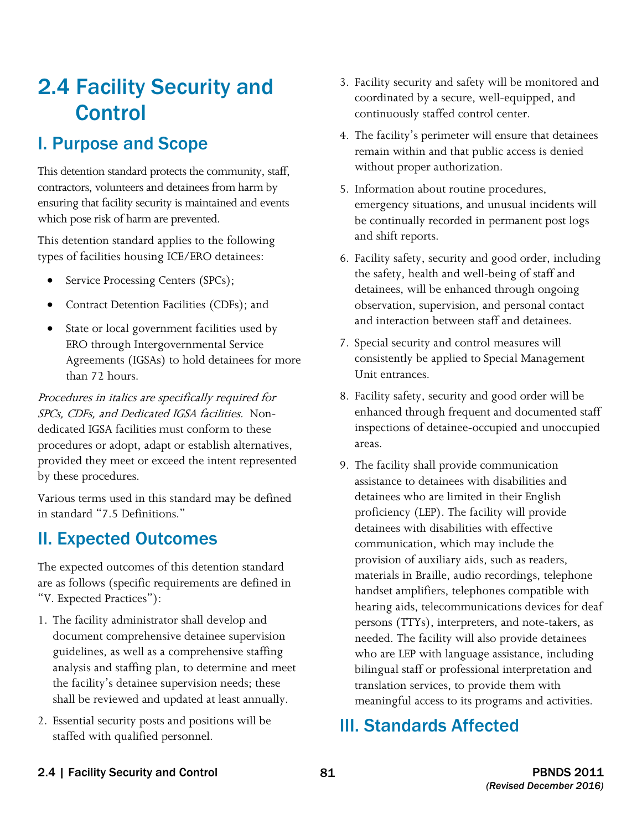# 2.4 Facility Security and Control

## I. Purpose and Scope

 This detention standard protects the community, staff, contractors, volunteers and detainees from harm by ensuring that facility security is maintained and events which pose risk of harm are prevented.

This detention standard applies to the following types of facilities housing ICE/ERO detainees:

- Service Processing Centers (SPCs);
- Contract Detention Facilities (CDFs); and
- State or local government facilities used by ERO through Intergovernmental Service Agreements (IGSAs) to hold detainees for more than 72 hours.

 SPCs, CDFs, and Dedicated IGSA facilities. Non-Procedures in italics are specifically required for dedicated IGSA facilities must conform to these procedures or adopt, adapt or establish alternatives, provided they meet or exceed the intent represented by these procedures.

Various terms used in this standard may be defined in standard "7.5 Definitions."

## II. Expected Outcomes

The expected outcomes of this detention standard are as follows (specific requirements are defined in "V. Expected Practices"):

- 1. The facility administrator shall develop and document comprehensive detainee supervision guidelines, as well as a comprehensive staffing analysis and staffing plan, to determine and meet the facility's detainee supervision needs; these shall be reviewed and updated at least annually.
- 2. Essential security posts and positions will be staffed with qualified personnel.
- 3. Facility security and safety will be monitored and coordinated by a secure, well-equipped, and continuously staffed control center.
- 4. The facility's perimeter will ensure that detainees remain within and that public access is denied without proper authorization.
- 5. Information about routine procedures, emergency situations, and unusual incidents will be continually recorded in permanent post logs and shift reports.
- 6. Facility safety, security and good order, including the safety, health and well-being of staff and detainees, will be enhanced through ongoing observation, supervision, and personal contact and interaction between staff and detainees.
- 7. Special security and control measures will consistently be applied to Special Management Unit entrances.
- 8. Facility safety, security and good order will be enhanced through frequent and documented staff inspections of detainee-occupied and unoccupied areas.
- 9. The facility shall provide communication assistance to detainees with disabilities and detainees who are limited in their English proficiency (LEP). The facility will provide detainees with disabilities with effective communication, which may include the provision of auxiliary aids, such as readers, materials in Braille, audio recordings, telephone handset amplifiers, telephones compatible with hearing aids, telecommunications devices for deaf persons (TTYs), interpreters, and note-takers, as needed. The facility will also provide detainees who are LEP with language assistance, including bilingual staff or professional interpretation and translation services, to provide them with meaningful access to its programs and activities.

## III. Standards Affected

2.4 | Facility Security and Control 81 81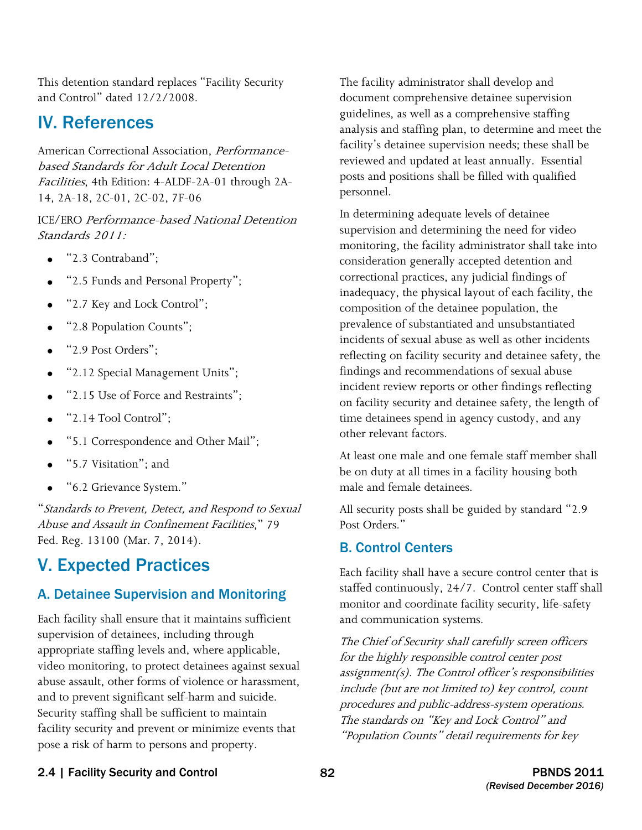This detention standard replaces "Facility Security and Control" dated 12/2/2008.

## IV. References

American Correctional Association, Performancebased Standards for Adult Local Detention Facilities, 4th Edition: 4-ALDF-2A-01 through 2A-14, 2A-18, 2C-01, 2C-02, 7F-06

 Standards 2011: ICE/ERO Performance-based National Detention

- "2.3 Contraband";
- "2.5 Funds and Personal Property";
- "2.7 Key and Lock Control";
- "2.8 Population Counts";
- "2.9 Post Orders";
- "2.12 Special Management Units";
- "2.15 Use of Force and Restraints";
- "2.14 Tool Control";
- "5.1 Correspondence and Other Mail";
- "5.7 Visitation"; and
- "6.2 Grievance System."

"Standards to Prevent, Detect, and Respond to Sexual Abuse and Assault in Confinement Facilities," 79 Fed. Reg. 13100 (Mar. 7, 2014).

## V. Expected Practices

### A. Detainee Supervision and Monitoring

 abuse assault, other forms of violence or harassment, Each facility shall ensure that it maintains sufficient supervision of detainees, including through appropriate staffing levels and, where applicable, video monitoring, to protect detainees against sexual and to prevent significant self-harm and suicide. Security staffing shall be sufficient to maintain facility security and prevent or minimize events that pose a risk of harm to persons and property.

The facility administrator shall develop and document comprehensive detainee supervision guidelines, as well as a comprehensive staffing analysis and staffing plan, to determine and meet the facility's detainee supervision needs; these shall be reviewed and updated at least annually. Essential posts and positions shall be filled with qualified personnel.

 incidents of sexual abuse as well as other incidents In determining adequate levels of detainee supervision and determining the need for video monitoring, the facility administrator shall take into consideration generally accepted detention and correctional practices, any judicial findings of inadequacy, the physical layout of each facility, the composition of the detainee population, the prevalence of substantiated and unsubstantiated reflecting on facility security and detainee safety, the findings and recommendations of sexual abuse incident review reports or other findings reflecting on facility security and detainee safety, the length of time detainees spend in agency custody, and any other relevant factors.

At least one male and one female staff member shall be on duty at all times in a facility housing both male and female detainees.

All security posts shall be guided by standard "2.9 Post Orders."

### B. Control Centers

Each facility shall have a secure control center that is staffed continuously, 24/7. Control center staff shall monitor and coordinate facility security, life-safety and communication systems.

 include (but are not limited to) key control, count The standards on "Key and Lock Control" and The Chief of Security shall carefully screen officers for the highly responsible control center post assignment(s). The Control officer's responsibilities procedures and public-address-system operations. "Population Counts" detail requirements for key

### 2.4 | Facility Security and Control 82 82 PBNDS 2011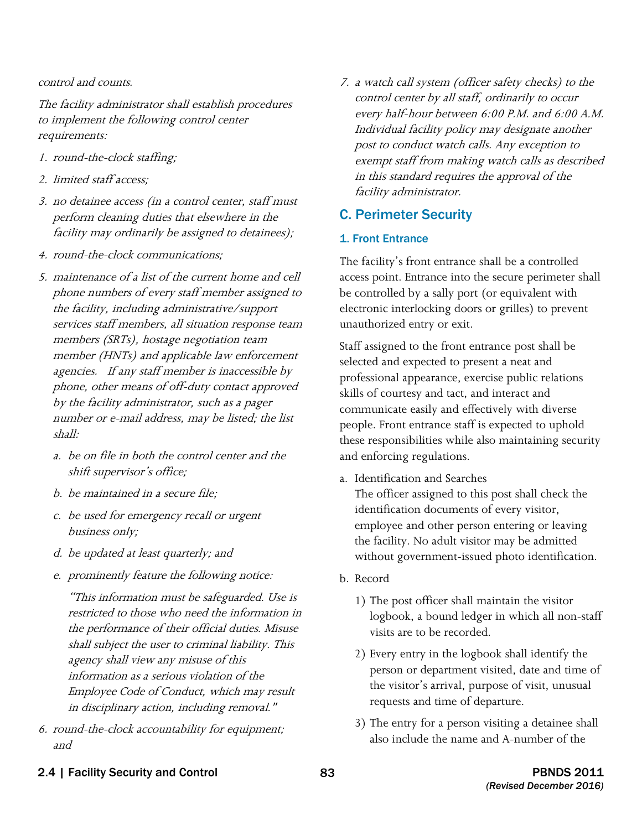#### control and counts.

The facility administrator shall establish procedures to implement the following control center requirements:

- 1. round-the-clock staffing;
- 2. limited staff access;
- 3. no detainee access (in a control center, staff must perform cleaning duties that elsewhere in the facility may ordinarily be assigned to detainees);
- 4. round-the-clock communications;
- 5. maintenance of a list of the current home and cell phone numbers of every staff member assigned to the facility, including administrative/support services staff members, all situation response team members (SRTs), hostage negotiation team member (HNTs) and applicable law enforcement agencies. If any staff member is inaccessible by phone, other means of off-duty contact approved by the facility administrator, such as a pager number or e-mail address, may be listed; the list shall:
	- a. be on file in both the control center and the shift supervisor's office;
	- b. be maintained in a secure file;
	- c. be used for emergency recall or urgent business only;
	- d. be updated at least quarterly; and
	- e. prominently feature the following notice:

 "This information must be safeguarded. Use is restricted to those who need the information in the performance of their official duties. Misuse shall subject the user to criminal liability. This agency shall view any misuse of this information as a serious violation of the Employee Code of Conduct, which may result in disciplinary action, including removal."

6. round-the-clock accountability for equipment; and

7. a watch call system (officer safety checks) to the control center by all staff, ordinarily to occur every half-hour between 6:00 P.M. and 6:00 A.M. Individual facility policy may designate another post to conduct watch calls. Any exception to exempt staff from making watch calls as described in this standard requires the approval of the facility administrator.

### C. Perimeter Security

#### 1. Front Entrance

 The facility's front entrance shall be a controlled access point. Entrance into the secure perimeter shall be controlled by a sally port (or equivalent with electronic interlocking doors or grilles) to prevent unauthorized entry or exit.

 selected and expected to present a neat and Staff assigned to the front entrance post shall be professional appearance, exercise public relations skills of courtesy and tact, and interact and communicate easily and effectively with diverse people. Front entrance staff is expected to uphold these responsibilities while also maintaining security and enforcing regulations.

a. Identification and Searches

 without government-issued photo identification. b. Record The officer assigned to this post shall check the identification documents of every visitor, employee and other person entering or leaving the facility. No adult visitor may be admitted

- - 1) The post officer shall maintain the visitor logbook, a bound ledger in which all non-staff visits are to be recorded.
	- 2) Every entry in the logbook shall identify the person or department visited, date and time of the visitor's arrival, purpose of visit, unusual requests and time of departure.
	- 3) The entry for a person visiting a detainee shall also include the name and A-number of the
- 2.4 | Facility Security and Control 83 PBNDS 2011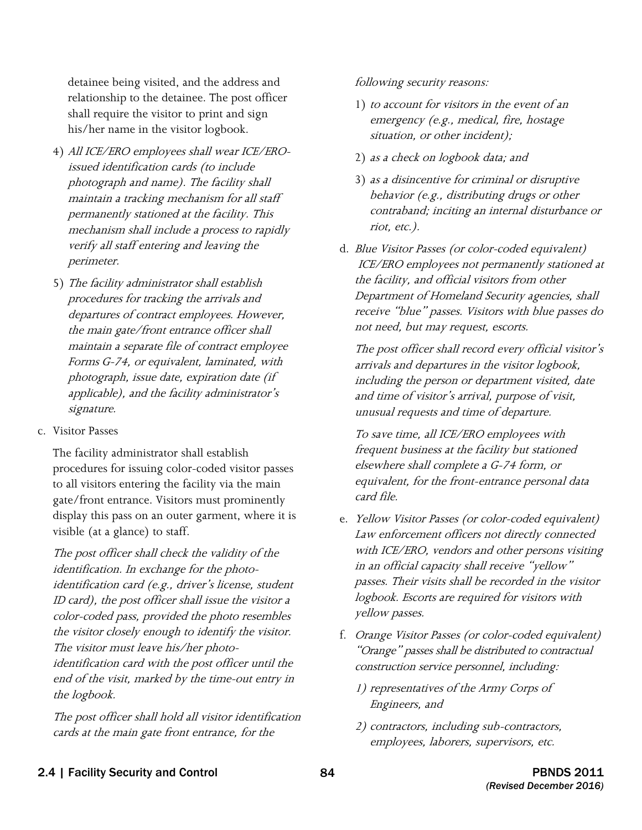detainee being visited, and the address and relationship to the detainee. The post officer shall require the visitor to print and sign his/her name in the visitor logbook.

- 4) All ICE/ERO employees shall wear ICE/EROissued identification cards (to include photograph and name). The facility shall maintain a tracking mechanism for all staff permanently stationed at the facility. This mechanism shall include a process to rapidly verify all staff entering and leaving the perimeter.
- procedures for tracking the arrivals and the main gate/front entrance officer shall photograph, issue date, expiration date (if 5) The facility administrator shall establish departures of contract employees. However, maintain a separate file of contract employee Forms G-74, or equivalent, laminated, with applicable), and the facility administrator's signature.
- c. Visitor Passes

The facility administrator shall establish procedures for issuing color-coded visitor passes to all visitors entering the facility via the main gate/front entrance. Visitors must prominently display this pass on an outer garment, where it is visible (at a glance) to staff.

The post officer shall check the validity of the identification. In exchange for the photoidentification card (e.g., driver's license, student ID card), the post officer shall issue the visitor a color-coded pass, provided the photo resembles the visitor closely enough to identify the visitor. The visitor must leave his/her photoidentification card with the post officer until the end of the visit, marked by the time-out entry in the logbook.

The post officer shall hold all visitor identification cards at the main gate front entrance, for the

following security reasons:

- 1) to account for visitors in the event of an emergency (e.g., medical, fire, hostage situation, or other incident);
- 2) as a check on logbook data; and
- 3) as a disincentive for criminal or disruptive behavior (e.g., distributing drugs or other contraband; inciting an internal disturbance or riot, etc.).
- the facility, and official visitors from other d. Blue Visitor Passes (or color-coded equivalent) ICE/ERO employees not permanently stationed at Department of Homeland Security agencies, shall receive "blue" passes. Visitors with blue passes do not need, but may request, escorts.

The post officer shall record every official visitor's arrivals and departures in the visitor logbook, including the person or department visited, date and time of visitor's arrival, purpose of visit, unusual requests and time of departure.

To save time, all ICE/ERO employees with frequent business at the facility but stationed elsewhere shall complete a G-74 form, or equivalent, for the front-entrance personal data card file.

- e. Yellow Visitor Passes (or color-coded equivalent) Law enforcement officers not directly connected with ICE/ERO, vendors and other persons visiting in an official capacity shall receive "yellow" passes. Their visits shall be recorded in the visitor logbook. Escorts are required for visitors with yellow passes.
- f. Orange Visitor Passes (or color-coded equivalent) "Orange" passes shall be distributed to contractual construction service personnel, including:
	- 1) representatives of the Army Corps of Engineers, and
	- 2) contractors, including sub-contractors, employees, laborers, supervisors, etc.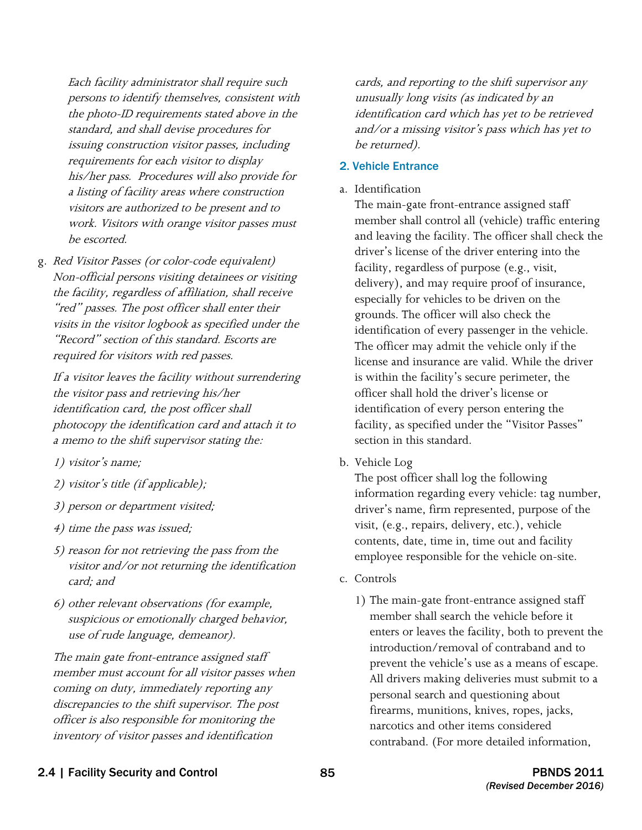Each facility administrator shall require such persons to identify themselves, consistent with the photo-ID requirements stated above in the standard, and shall devise procedures for issuing construction visitor passes, including requirements for each visitor to display his/her pass. Procedures will also provide for a listing of facility areas where construction visitors are authorized to be present and to work. Visitors with orange visitor passes must be escorted.

 required for visitors with red passes. g. Red Visitor Passes (or color-code equivalent) Non-official persons visiting detainees or visiting the facility, regardless of affiliation, shall receive "red" passes. The post officer shall enter their visits in the visitor logbook as specified under the "Record" section of this standard. Escorts are

If a visitor leaves the facility without surrendering the visitor pass and retrieving his/her identification card, the post officer shall photocopy the identification card and attach it to a memo to the shift supervisor stating the:

- 1) visitor's name;
- 2) visitor's title (if applicable);
- 3) person or department visited;
- 4) time the pass was issued;
- 5) reason for not retrieving the pass from the visitor and/or not returning the identification card; and
- 6) other relevant observations (for example, suspicious or emotionally charged behavior, use of rude language, demeanor).

The main gate front-entrance assigned staff member must account for all visitor passes when coming on duty, immediately reporting any discrepancies to the shift supervisor. The post officer is also responsible for monitoring the inventory of visitor passes and identification

cards, and reporting to the shift supervisor any unusually long visits (as indicated by an identification card which has yet to be retrieved and/or a missing visitor's pass which has yet to be returned).

#### 2. Vehicle Entrance

a. Identification

 The main-gate front-entrance assigned staff driver's license of the driver entering into the member shall control all (vehicle) traffic entering and leaving the facility. The officer shall check the facility, regardless of purpose (e.g., visit, delivery), and may require proof of insurance, especially for vehicles to be driven on the grounds. The officer will also check the identification of every passenger in the vehicle. The officer may admit the vehicle only if the license and insurance are valid. While the driver is within the facility's secure perimeter, the officer shall hold the driver's license or identification of every person entering the facility, as specified under the "Visitor Passes" section in this standard.

b. Vehicle Log

The post officer shall log the following information regarding every vehicle: tag number, driver's name, firm represented, purpose of the visit, (e.g., repairs, delivery, etc.), vehicle contents, date, time in, time out and facility employee responsible for the vehicle on-site.

- c. Controls
	- 1) The main-gate front-entrance assigned staff member shall search the vehicle before it enters or leaves the facility, both to prevent the introduction/removal of contraband and to prevent the vehicle's use as a means of escape. All drivers making deliveries must submit to a personal search and questioning about firearms, munitions, knives, ropes, jacks, narcotics and other items considered contraband. (For more detailed information,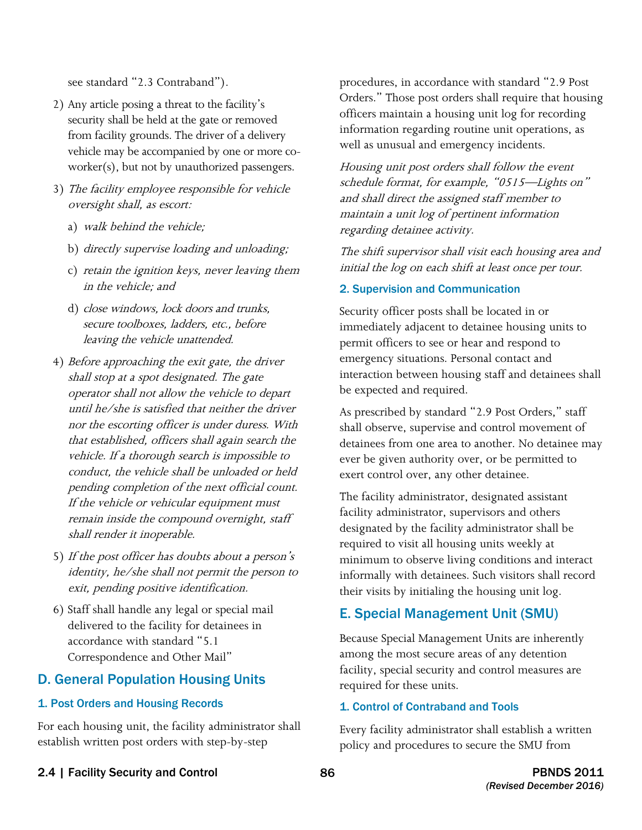see standard "2.3 Contraband").

- 2) Any article posing a threat to the facility's security shall be held at the gate or removed from facility grounds. The driver of a delivery vehicle may be accompanied by one or more coworker(s), but not by unauthorized passengers.
- 3) The facility employee responsible for vehicle oversight shall, as escort:
	- a) walk behind the vehicle;
	- b) directly supervise loading and unloading;
	- c) retain the ignition keys, never leaving them in the vehicle; and
	- secure toolboxes, ladders, etc., before d) close windows, lock doors and trunks, leaving the vehicle unattended.
- 4) Before approaching the exit gate, the driver shall stop at a spot designated. The gate operator shall not allow the vehicle to depart until he/she is satisfied that neither the driver nor the escorting officer is under duress. With that established, officers shall again search the vehicle. If a thorough search is impossible to conduct, the vehicle shall be unloaded or held pending completion of the next official count. If the vehicle or vehicular equipment must remain inside the compound overnight, staff shall render it inoperable.
- 5) If the post officer has doubts about a person's identity, he/she shall not permit the person to exit, pending positive identification.
- 6) Staff shall handle any legal or special mail delivered to the facility for detainees in accordance with standard "5.1 Correspondence and Other Mail"

### D. General Population Housing Units

### 1. Post Orders and Housing Records

For each housing unit, the facility administrator shall establish written post orders with step-by-step

procedures, in accordance with standard "2.9 Post Orders." Those post orders shall require that housing officers maintain a housing unit log for recording information regarding routine unit operations, as well as unusual and emergency incidents.

Housing unit post orders shall follow the event schedule format, for example, "0515—Lights on" and shall direct the assigned staff member to maintain a unit log of pertinent information regarding detainee activity.

The shift supervisor shall visit each housing area and initial the log on each shift at least once per tour.

### 2. Supervision and Communication

Security officer posts shall be located in or immediately adjacent to detainee housing units to permit officers to see or hear and respond to emergency situations. Personal contact and interaction between housing staff and detainees shall be expected and required.

 As prescribed by standard "2.9 Post Orders," staff shall observe, supervise and control movement of detainees from one area to another. No detainee may ever be given authority over, or be permitted to exert control over, any other detainee.

The facility administrator, designated assistant facility administrator, supervisors and others designated by the facility administrator shall be required to visit all housing units weekly at minimum to observe living conditions and interact informally with detainees. Such visitors shall record their visits by initialing the housing unit log.

### E. Special Management Unit (SMU)

Because Special Management Units are inherently among the most secure areas of any detention facility, special security and control measures are required for these units.

### 1. Control of Contraband and Tools

Every facility administrator shall establish a written policy and procedures to secure the SMU from

2.4 | Facility Security and Control 86 86 PBNDS 2011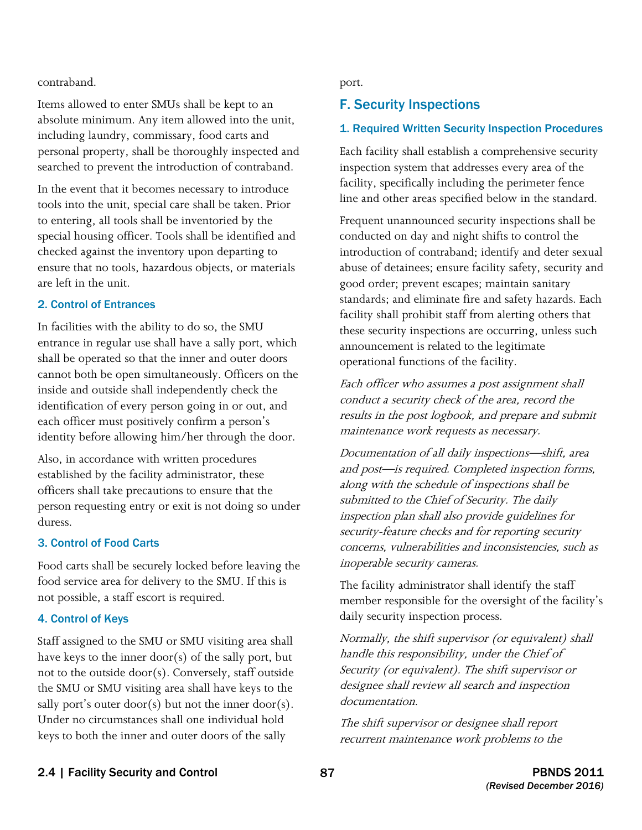contraband. port.

Items allowed to enter SMUs shall be kept to an absolute minimum. Any item allowed into the unit, including laundry, commissary, food carts and personal property, shall be thoroughly inspected and searched to prevent the introduction of contraband.

In the event that it becomes necessary to introduce tools into the unit, special care shall be taken. Prior to entering, all tools shall be inventoried by the special housing officer. Tools shall be identified and checked against the inventory upon departing to ensure that no tools, hazardous objects, or materials are left in the unit.

### 2. Control of Entrances

In facilities with the ability to do so, the SMU entrance in regular use shall have a sally port, which shall be operated so that the inner and outer doors cannot both be open simultaneously. Officers on the inside and outside shall independently check the identification of every person going in or out, and each officer must positively confirm a person's identity before allowing him/her through the door.

Also, in accordance with written procedures established by the facility administrator, these officers shall take precautions to ensure that the person requesting entry or exit is not doing so under duress.

#### 3. Control of Food Carts

Food carts shall be securely locked before leaving the food service area for delivery to the SMU. If this is not possible, a staff escort is required.

#### 4. Control of Keys

 the SMU or SMU visiting area shall have keys to the Staff assigned to the SMU or SMU visiting area shall have keys to the inner door(s) of the sally port, but not to the outside door(s). Conversely, staff outside sally port's outer door(s) but not the inner door(s). Under no circumstances shall one individual hold keys to both the inner and outer doors of the sally

### F. Security Inspections

### 1. Required Written Security Inspection Procedures

Each facility shall establish a comprehensive security inspection system that addresses every area of the facility, specifically including the perimeter fence line and other areas specified below in the standard.

Frequent unannounced security inspections shall be conducted on day and night shifts to control the introduction of contraband; identify and deter sexual abuse of detainees; ensure facility safety, security and good order; prevent escapes; maintain sanitary standards; and eliminate fire and safety hazards. Each facility shall prohibit staff from alerting others that these security inspections are occurring, unless such announcement is related to the legitimate operational functions of the facility.

Each officer who assumes a post assignment shall conduct a security check of the area, record the results in the post logbook, and prepare and submit maintenance work requests as necessary.

 inspection plan shall also provide guidelines for Documentation of all daily inspections—shift, area and post—is required. Completed inspection forms, along with the schedule of inspections shall be submitted to the Chief of Security. The daily security-feature checks and for reporting security concerns, vulnerabilities and inconsistencies, such as inoperable security cameras.

The facility administrator shall identify the staff member responsible for the oversight of the facility's daily security inspection process.

Normally, the shift supervisor (or equivalent) shall handle this responsibility, under the Chief of Security (or equivalent). The shift supervisor or designee shall review all search and inspection documentation.

The shift supervisor or designee shall report recurrent maintenance work problems to the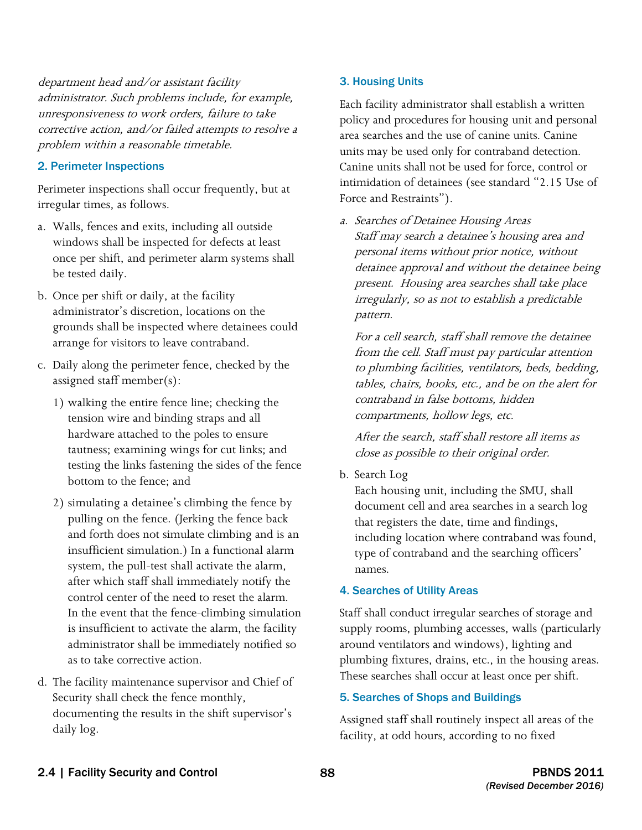department head and/or assistant facility administrator. Such problems include, for example, unresponsiveness to work orders, failure to take corrective action, and/or failed attempts to resolve a problem within a reasonable timetable.

#### 2. Perimeter Inspections

Perimeter inspections shall occur frequently, but at irregular times, as follows.

- a. Walls, fences and exits, including all outside windows shall be inspected for defects at least once per shift, and perimeter alarm systems shall be tested daily.
- b. Once per shift or daily, at the facility administrator's discretion, locations on the grounds shall be inspected where detainees could arrange for visitors to leave contraband.
- c. Daily along the perimeter fence, checked by the assigned staff member(s):
	- 1) walking the entire fence line; checking the tension wire and binding straps and all hardware attached to the poles to ensure tautness; examining wings for cut links; and testing the links fastening the sides of the fence bottom to the fence; and
	- is insufficient to activate the alarm, the facility 2) simulating a detainee's climbing the fence by pulling on the fence. (Jerking the fence back and forth does not simulate climbing and is an insufficient simulation.) In a functional alarm system, the pull-test shall activate the alarm, after which staff shall immediately notify the control center of the need to reset the alarm. In the event that the fence-climbing simulation administrator shall be immediately notified so as to take corrective action.
- Security shall check the fence monthly, d. The facility maintenance supervisor and Chief of documenting the results in the shift supervisor's daily log.

#### 3. Housing Units

 policy and procedures for housing unit and personal area searches and the use of canine units. Canine units may be used only for contraband detection. Canine units shall not be used for force, control or intimidation of detainees (see standard "2.15 Use of Each facility administrator shall establish a written Force and Restraints").

a. Searches of Detainee Housing Areas Staff may search a detainee's housing area and personal items without prior notice, without detainee approval and without the detainee being present. Housing area searches shall take place irregularly, so as not to establish a predictable pattern.

For a cell search, staff shall remove the detainee from the cell. Staff must pay particular attention to plumbing facilities, ventilators, beds, bedding, tables, chairs, books, etc., and be on the alert for contraband in false bottoms, hidden compartments, hollow legs, etc.

After the search, staff shall restore all items as close as possible to their original order.

b. Search Log

Each housing unit, including the SMU, shall document cell and area searches in a search log that registers the date, time and findings, including location where contraband was found, type of contraband and the searching officers' names.

#### 4. Searches of Utility Areas

Staff shall conduct irregular searches of storage and supply rooms, plumbing accesses, walls (particularly around ventilators and windows), lighting and plumbing fixtures, drains, etc., in the housing areas. These searches shall occur at least once per shift.

#### 5. Searches of Shops and Buildings

Assigned staff shall routinely inspect all areas of the facility, at odd hours, according to no fixed